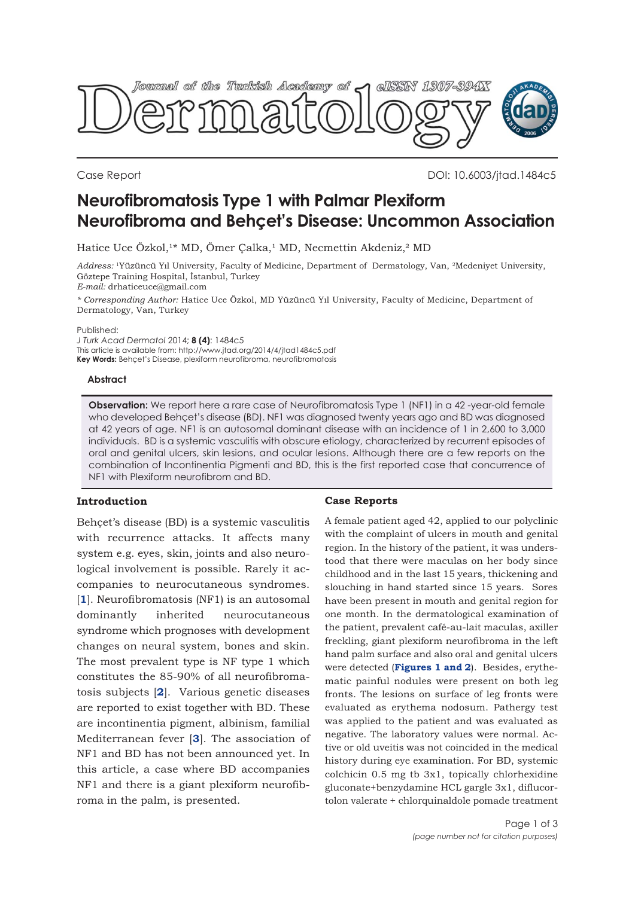

Case Report DOI: 10.6003/jtad.1484c5

# **Neurofibromatosis Type 1 with Palmar Plexiform Neurofibroma and Behçet's Disease: Uncommon Association**

Hatice Uce Özkol,<sup>1\*</sup> MD, Ömer Çalka,<sup>1</sup> MD, Necmettin Akdeniz,<sup>2</sup> MD

*Address:* 1Yüzüncü Yıl University, Faculty of Medicine, Department of Dermatology, Van, 2Medeniyet University, Göztepe Training Hospital, İstanbul, Turkey *E-mail:* drhaticeuce@gmail.com

*\* Corresponding Author:* Hatice Uce Özkol, MD Yüzüncü Yıl University, Faculty of Medicine, Department of Dermatology, Van, Turkey

Published:

*J Turk Acad Dermatol* 2014; **8 (4)**: 1484c5 This article is available from: http://www.jtad.org/2014/4/jtad1484c5.pdf **Key Words:** Behçet's Disease, plexiform neurofibroma, neurofibromatosis

## **Abstract**

**Observation:** We report here a rare case of Neurofibromatosis Type 1 (NF1) in a 42-year-old female who developed Behçet's disease (BD). NF1 was diagnosed twenty years ago and BD was diagnosed at 42 years of age. NF1 is an autosomal dominant disease with an incidence of 1 in 2,600 to 3,000 individuals. BD is a systemic vasculitis with obscure etiology, characterized by recurrent episodes of oral and genital ulcers, skin lesions, and ocular lesions. Although there are a few reports on the combination of Incontinentia Pigmenti and BD, this is the first reported case that concurrence of NF1 with Plexiform neurofibrom and BD.

## **Introduction**

Behcet's disease (BD) is a systemic vasculitis with recurrence attacks. It affects many system e.g. eyes, skin, joints and also neurological involvement is possible. Rarely it accompanies to neurocutaneous syndromes. [**[1](#page-2-0)**]. Neurofibromatosis (NF1) is an autosomal dominantly inherited neurocutaneous syndrome which prognoses with development changes on neural system, bones and skin. The most prevalent type is NF type 1 which constitutes the 85-90% of all neurofibromatosis subjects [**[2](#page-2-0)**]. Various genetic diseases are reported to exist together with BD. These are incontinentia pigment, albinism, familial Mediterranean fever [**[3](#page-2-0)**]. The association of NF1 and BD has not been announced yet. In this article, a case where BD accompanies NF1 and there is a giant plexiform neurofibroma in the palm, is presented.

## **Case Reports**

A female patient aged 42, applied to our polyclinic with the complaint of ulcers in mouth and genital region. In the history of the patient, it was understood that there were maculas on her body since childhood and in the last 15 years, thickening and slouching in hand started since 15 years. Sores have been present in mouth and genital region for one month. In the dermatological examination of the patient, prevalent café-au-lait maculas, axiller freckling, giant plexiform neurofibroma in the left hand palm surface and also oral and genital ulcers were detected (**[Figures 1 and 2](#page-1-0)**). Besides, erythematic painful nodules were present on both leg fronts. The lesions on surface of leg fronts were evaluated as erythema nodosum. Pathergy test was applied to the patient and was evaluated as negative. The laboratory values were normal. Active or old uveitis was not coincided in the medical history during eye examination. For BD, systemic colchicin 0.5 mg tb 3x1, topically chlorhexidine gluconate+benzydamine HCL gargle 3x1, diflucortolon valerate + chlorquinaldole pomade treatment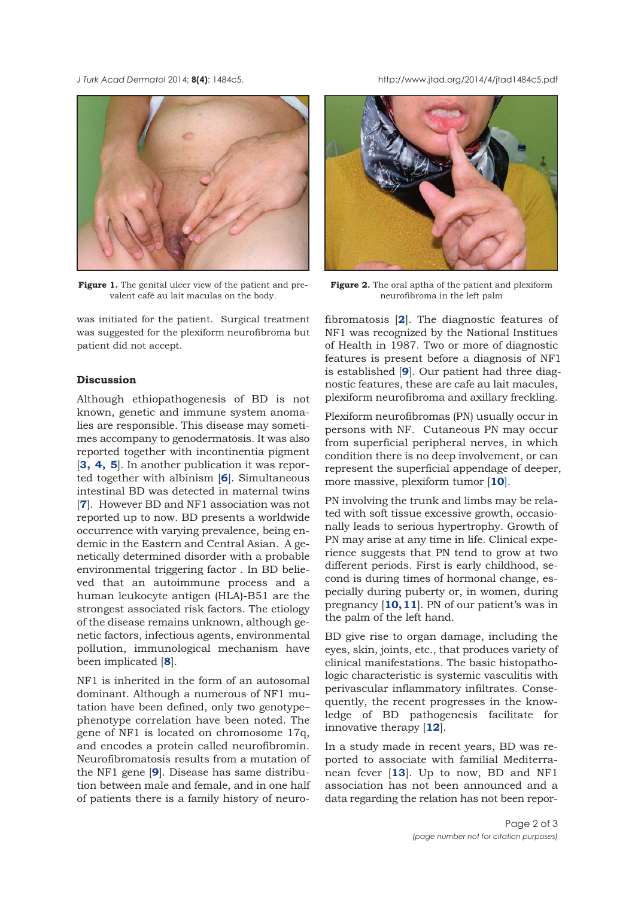<span id="page-1-0"></span>*J Turk Acad Dermato*l 2014; **8(4)**: 1484c5. http://www.jtad.org/2014/4/jtad1484c5.pdf



Figure 1. The genital ulcer view of the patient and prevalent café au lait maculas on the body.

was initiated for the patient. Surgical treatment was suggested for the plexiform neurofibroma but patient did not accept.

## **Discussion**

Although ethiopathogenesis of BD is not known, genetic and immune system anomalies are responsible. This disease may sometimes accompany to genodermatosis. It was also reported together with incontinentia pigment [**[3](#page-2-0), [4,](#page-2-0) [5](#page-2-0)**]. In another publication it was reported together with albinism [**[6](#page-2-0)**]. Simultaneous intestinal BD was detected in maternal twins [**[7](#page-2-0)**]. However BD and NF1 association was not reported up to now. BD presents a worldwide occurrence with varying prevalence, being endemic in the Eastern and Central Asian. A genetically determined disorder with a probable environmental triggering factor . In BD believed that an autoimmune process and a human leukocyte antigen (HLA)-B51 are the strongest associated risk factors. The etiology of the disease remains unknown, although genetic factors, infectious agents, environmental pollution, immunological mechanism have been implicated [**[8](#page-2-0)**].

NF1 is inherited in the form of an autosomal dominant. Although a numerous of NF1 mutation have been defined, only two genotype– phenotype correlation have been noted. The gene of NF1 is located on chromosome 17q, and encodes a protein called neurofibromin. Neurofibromatosis results from a mutation of the NF1 gene [**[9](#page-2-0)**]. Disease has same distribution between male and female, and in one half of patients there is a family history of neuro-



**Figure 2.** The oral aptha of the patient and plexiform neurofibroma in the left palm

fibromatosis [**[2](#page-2-0)**]. The diagnostic features of NF1 was recognized by the National Institues of Health in 1987. Two or more of diagnostic features is present before a diagnosis of NF1 is established [**[9](#page-2-0)**]. Our patient had three diagnostic features, these are cafe au lait macules, plexiform neurofibroma and axillary freckling.

Plexiform neurofibromas (PN) usually occur in persons with NF. Cutaneous PN may occur from superficial peripheral nerves, in which condition there is no deep involvement, or can represent the superficial appendage of deeper, more massive, plexiform tumor [**[10](#page-2-0)**].

PN involving the trunk and limbs may be related with soft tissue excessive growth, occasionally leads to serious hypertrophy. Growth of PN may arise at any time in life. Clinical experience suggests that PN tend to grow at two different periods. First is early childhood, second is during times of hormonal change, especially during puberty or, in women, during pregnancy [**[10, 11](#page-2-0)**]. PN of our patient's was in the palm of the left hand.

BD give rise to organ damage, including the eyes, skin, joints, etc., that produces variety of clinical manifestations. The basic histopathologic characteristic is systemic vasculitis with perivascular inflammatory infiltrates. Consequently, the recent progresses in the knowledge of BD pathogenesis facilitate for innovative therapy [**[12](#page-2-0)**].

In a study made in recent years, BD was reported to associate with familial Mediterranean fever [**[13](#page-2-0)**]. Up to now, BD and NF1 association has not been announced and a data regarding the relation has not been repor